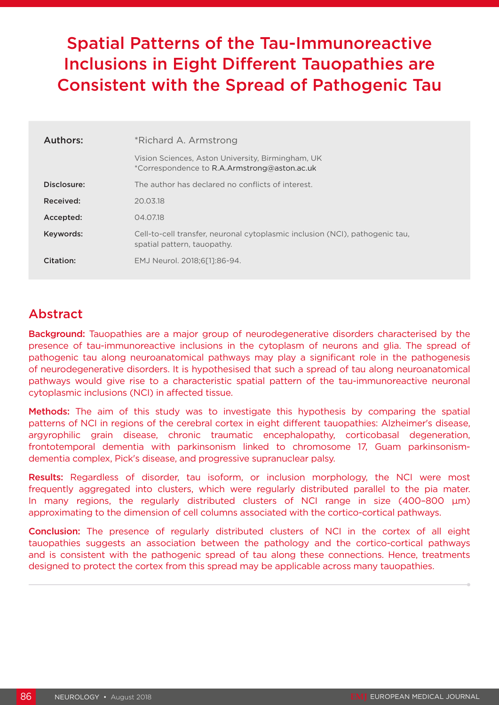# Spatial Patterns of the Tau-Immunoreactive Inclusions in Eight Different Tauopathies are Consistent with the Spread of Pathogenic Tau

| Authors:    | *Richard A. Armstrong                                                                                       |
|-------------|-------------------------------------------------------------------------------------------------------------|
|             | Vision Sciences, Aston University, Birmingham, UK<br>*Correspondence to R.A.Armstrong@aston.ac.uk           |
| Disclosure: | The author has declared no conflicts of interest.                                                           |
| Received:   | 20.03.18                                                                                                    |
| Accepted:   | 04.07.18                                                                                                    |
| Keywords:   | Cell-to-cell transfer, neuronal cytoplasmic inclusion (NCI), pathogenic tau,<br>spatial pattern, tauopathy. |
| Citation:   | EMJ Neurol. 2018;6[1]:86-94.                                                                                |

## Abstract

Background: Tauopathies are a major group of neurodegenerative disorders characterised by the presence of tau-immunoreactive inclusions in the cytoplasm of neurons and glia. The spread of pathogenic tau along neuroanatomical pathways may play a significant role in the pathogenesis of neurodegenerative disorders. It is hypothesised that such a spread of tau along neuroanatomical pathways would give rise to a characteristic spatial pattern of the tau-immunoreactive neuronal cytoplasmic inclusions (NCI) in affected tissue.

Methods: The aim of this study was to investigate this hypothesis by comparing the spatial patterns of NCI in regions of the cerebral cortex in eight different tauopathies: Alzheimer's disease, argyrophilic grain disease, chronic traumatic encephalopathy, corticobasal degeneration, frontotemporal dementia with parkinsonism linked to chromosome 17, Guam parkinsonismdementia complex, Pick's disease, and progressive supranuclear palsy.

Results: Regardless of disorder, tau isoform, or inclusion morphology, the NCI were most frequently aggregated into clusters, which were regularly distributed parallel to the pia mater. In many regions, the regularly distributed clusters of NCI range in size  $(400-800 \mu m)$ approximating to the dimension of cell columns associated with the cortico-cortical pathways.

Conclusion: The presence of regularly distributed clusters of NCI in the cortex of all eight tauopathies suggests an association between the pathology and the cortico-cortical pathways and is consistent with the pathogenic spread of tau along these connections. Hence, treatments designed to protect the cortex from this spread may be applicable across many tauopathies.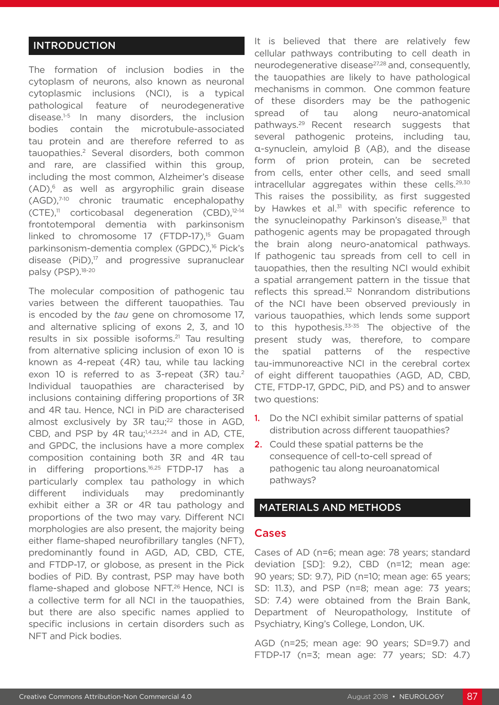#### INTRODUCTION

The formation of inclusion bodies in the cytoplasm of neurons, also known as neuronal cytoplasmic inclusions (NCI), is a typical pathological feature of neurodegenerative disease.<sup>1-5</sup> In many disorders, the inclusion bodies contain the microtubule-associated tau protein and are therefore referred to as tauopathies.2 Several disorders, both common and rare, are classified within this group, including the most common, Alzheimer's disease (AD),6 as well as argyrophilic grain disease (AGD),7-10 chronic traumatic encephalopathy (CTE),11 corticobasal degeneration (CBD),12-14 frontotemporal dementia with parkinsonism linked to chromosome 17 (FTDP-17),<sup>15</sup> Guam parkinsonism-dementia complex (GPDC),<sup>16</sup> Pick's disease  $(PiD)<sup>17</sup>$  and progressive supranuclear palsy (PSP).<sup>18-20</sup>

The molecular composition of pathogenic tau varies between the different tauopathies. Tau is encoded by the *tau* gene on chromosome 17, and alternative splicing of exons 2, 3, and 10 results in six possible isoforms.<sup>21</sup> Tau resulting from alternative splicing inclusion of exon 10 is known as 4-repeat (4R) tau, while tau lacking exon 10 is referred to as 3-repeat (3R) tau.<sup>2</sup> Individual tauopathies are characterised by inclusions containing differing proportions of 3R and 4R tau. Hence, NCI in PiD are characterised almost exclusively by 3R tau;<sup>22</sup> those in AGD, CBD, and PSP by 4R tau;<sup>1,4,23,24</sup> and in AD, CTE, and GPDC, the inclusions have a more complex composition containing both 3R and 4R tau in differing proportions.<sup>16,25</sup> FTDP-17 has a particularly complex tau pathology in which different individuals may predominantly exhibit either a 3R or 4R tau pathology and proportions of the two may vary. Different NCI morphologies are also present, the majority being either flame-shaped neurofibrillary tangles (NFT), predominantly found in AGD, AD, CBD, CTE, and FTDP-17, or globose, as present in the Pick bodies of PiD. By contrast, PSP may have both flame-shaped and globose NFT.<sup>26</sup> Hence, NCI is a collective term for all NCI in the tauopathies, but there are also specific names applied to specific inclusions in certain disorders such as NFT and Pick bodies.

It is believed that there are relatively few cellular pathways contributing to cell death in neurodegenerative disease<sup>27,28</sup> and, consequently, the tauopathies are likely to have pathological mechanisms in common. One common feature of these disorders may be the pathogenic spread of tau along neuro-anatomical pathways.29 Recent research suggests that several pathogenic proteins, including tau, α-synuclein, amyloid β (Aβ), and the disease form of prion protein, can be secreted from cells, enter other cells, and seed small intracellular aggregates within these cells.<sup>29,30</sup> This raises the possibility, as first suggested by Hawkes et al.<sup>31</sup> with specific reference to the synucleinopathy Parkinson's disease,<sup>31</sup> that pathogenic agents may be propagated through the brain along neuro-anatomical pathways. If pathogenic tau spreads from cell to cell in tauopathies, then the resulting NCI would exhibit a spatial arrangement pattern in the tissue that reflects this spread.<sup>32</sup> Nonrandom distributions of the NCI have been observed previously in various tauopathies, which lends some support to this hypothesis.<sup>33-35</sup> The objective of the present study was, therefore, to compare the spatial patterns of the respective tau-immunoreactive NCI in the cerebral cortex of eight different tauopathies (AGD, AD, CBD, CTE, FTDP-17, GPDC, PiD, and PS) and to answer two questions:

- **1.** Do the NCI exhibit similar patterns of spatial distribution across different tauopathies?
- **2.** Could these spatial patterns be the consequence of cell-to-cell spread of pathogenic tau along neuroanatomical pathways?

#### MATERIALS AND METHODS

#### Cases

Cases of AD (n=6; mean age: 78 years; standard deviation [SD]: 9.2), CBD (n=12; mean age: 90 years; SD: 9.7), PiD (n=10; mean age: 65 years; SD: 11.3), and PSP (n=8; mean age: 73 years; SD: 7.4) were obtained from the Brain Bank, Department of Neuropathology, Institute of Psychiatry, King's College, London, UK.

AGD (n=25; mean age: 90 years; SD=9.7) and FTDP-17 (n=3; mean age: 77 years; SD: 4.7)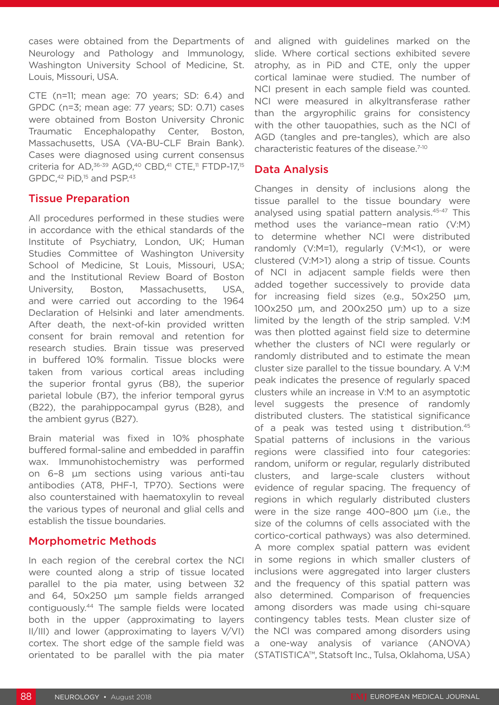cases were obtained from the Departments of Neurology and Pathology and Immunology, Washington University School of Medicine, St. Louis, Missouri, USA.

CTE (n=11; mean age: 70 years; SD: 6.4) and GPDC (n=3; mean age: 77 years; SD: 0.71) cases were obtained from Boston University Chronic Traumatic Encephalopathy Center, Boston, Massachusetts, USA (VA-BU-CLF Brain Bank). Cases were diagnosed using current consensus criteria for AD,  $36-39$  AGD,  $40$  CBD,  $41$  CTE,  $11$  FTDP-17,  $15$ GPDC,<sup>42</sup> PiD,<sup>15</sup> and PSP.<sup>43</sup>

#### Tissue Preparation

All procedures performed in these studies were in accordance with the ethical standards of the Institute of Psychiatry, London, UK; Human Studies Committee of Washington University School of Medicine, St Louis, Missouri, USA; and the Institutional Review Board of Boston University, Boston, Massachusetts, USA, and were carried out according to the 1964 Declaration of Helsinki and later amendments. After death, the next-of-kin provided written consent for brain removal and retention for research studies. Brain tissue was preserved in buffered 10% formalin. Tissue blocks were taken from various cortical areas including the superior frontal gyrus (B8), the superior parietal lobule (B7), the inferior temporal gyrus (B22), the parahippocampal gyrus (B28), and the ambient gyrus (B27).

Brain material was fixed in 10% phosphate buffered formal-saline and embedded in paraffin wax. Immunohistochemistry was performed on 6–8 µm sections using various anti-tau antibodies (AT8, PHF-1, TP70). Sections were also counterstained with haematoxylin to reveal the various types of neuronal and glial cells and establish the tissue boundaries.

## Morphometric Methods

In each region of the cerebral cortex the NCI were counted along a strip of tissue located parallel to the pia mater, using between 32 and 64, 50x250 µm sample fields arranged contiguously.44 The sample fields were located both in the upper (approximating to layers II/III) and lower (approximating to layers V/VI) cortex. The short edge of the sample field was orientated to be parallel with the pia mater

and aligned with guidelines marked on the slide. Where cortical sections exhibited severe atrophy, as in PiD and CTE, only the upper cortical laminae were studied. The number of NCI present in each sample field was counted. NCI were measured in alkyltransferase rather than the argyrophilic grains for consistency with the other tauopathies, such as the NCI of AGD (tangles and pre-tangles), which are also characteristic features of the disease.7-10

## Data Analysis

Changes in density of inclusions along the tissue parallel to the tissue boundary were analysed using spatial pattern analysis.45-47 This method uses the variance–mean ratio (V:M) to determine whether NCI were distributed randomly (V:M=1), regularly (V:M<1), or were clustered (V:M>1) along a strip of tissue. Counts of NCI in adjacent sample fields were then added together successively to provide data for increasing field sizes (e.g., 50x250 µm, 100x250 µm, and 200x250 µm) up to a size limited by the length of the strip sampled. V:M was then plotted against field size to determine whether the clusters of NCI were regularly or randomly distributed and to estimate the mean cluster size parallel to the tissue boundary. A V:M peak indicates the presence of regularly spaced clusters while an increase in V:M to an asymptotic level suggests the presence of randomly distributed clusters. The statistical significance of a peak was tested using t distribution.<sup>45</sup> Spatial patterns of inclusions in the various regions were classified into four categories: random, uniform or regular, regularly distributed clusters, and large-scale clusters without evidence of regular spacing. The frequency of regions in which regularly distributed clusters were in the size range 400–800 µm (i.e., the size of the columns of cells associated with the cortico-cortical pathways) was also determined. A more complex spatial pattern was evident in some regions in which smaller clusters of inclusions were aggregated into larger clusters and the frequency of this spatial pattern was also determined. Comparison of frequencies among disorders was made using chi-square contingency tables tests. Mean cluster size of the NCI was compared among disorders using a one-way analysis of variance (ANOVA) (STATISTICA™, Statsoft Inc., Tulsa, Oklahoma, USA)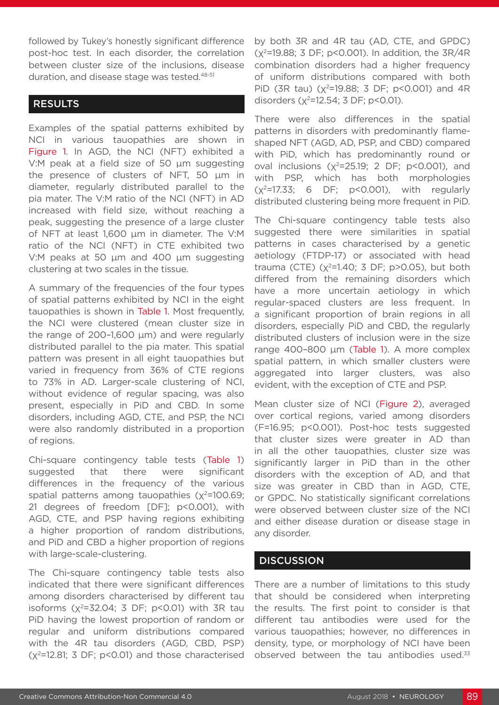followed by Tukey's honestly significant difference post-hoc test. In each disorder, the correlation between cluster size of the inclusions, disease duration, and disease stage was tested.<sup>48-51</sup>

## RESULTS

Examples of the spatial patterns exhibited by NCI in various tauopathies are shown in Figure 1. In AGD, the NCI (NFT) exhibited a V:M peak at a field size of 50 µm suggesting the presence of clusters of NFT, 50 µm in diameter, regularly distributed parallel to the pia mater. The V:M ratio of the NCI (NFT) in AD increased with field size, without reaching a peak, suggesting the presence of a large cluster of NFT at least 1,600 µm in diameter. The V:M ratio of the NCI (NFT) in CTE exhibited two V:M peaks at 50 µm and 400 µm suggesting clustering at two scales in the tissue.

A summary of the frequencies of the four types of spatial patterns exhibited by NCI in the eight tauopathies is shown in Table 1. Most frequently, the NCI were clustered (mean cluster size in the range of 200–1,600 µm) and were regularly distributed parallel to the pia mater. This spatial pattern was present in all eight tauopathies but varied in frequency from 36% of CTE regions to 73% in AD. Larger-scale clustering of NCI, without evidence of regular spacing, was also present, especially in PiD and CBD. In some disorders, including AGD, CTE, and PSP, the NCI were also randomly distributed in a proportion of regions.

Chi-square contingency table tests (Table 1) suggested that there were significant differences in the frequency of the various spatial patterns among tauopathies  $(x^2=100.69;$ 21 degrees of freedom [DF]; p<0.001), with AGD, CTE, and PSP having regions exhibiting a higher proportion of random distributions, and PiD and CBD a higher proportion of regions with large-scale-clustering.

The Chi-square contingency table tests also indicated that there were significant differences among disorders characterised by different tau isoforms  $(x^2=32.04; 3 DF; p<0.01)$  with 3R tau PiD having the lowest proportion of random or regular and uniform distributions compared with the 4R tau disorders (AGD, CBD, PSP)  $(x^2=12.81; 3 DF; p<0.01)$  and those characterised

by both 3R and 4R tau (AD, CTE, and GPDC)  $(x^2=19.88; 3 DF; p<0.001)$ . In addition, the  $3R/4R$ combination disorders had a higher frequency of uniform distributions compared with both PiD (3R tau) ( $x^2$ =19.88; 3 DF; p<0.001) and 4R disorders  $(x^2=12.54; 3 DF; p<0.01)$ .

There were also differences in the spatial patterns in disorders with predominantly flameshaped NFT (AGD, AD, PSP, and CBD) compared with PiD, which has predominantly round or oval inclusions  $(x^2=25.19; 2 DF; p<0.001)$ , and with PSP, which has both morphologies  $(x^2=17.33; 6$  DF;  $p<0.001$ ), with regularly distributed clustering being more frequent in PiD.

The Chi-square contingency table tests also suggested there were similarities in spatial patterns in cases characterised by a genetic aetiology (FTDP-17) or associated with head trauma (CTE) ( $x^2$ =1.40; 3 DF; p>0.05), but both differed from the remaining disorders which have a more uncertain aetiology in which regular-spaced clusters are less frequent. In a significant proportion of brain regions in all disorders, especially PiD and CBD, the regularly distributed clusters of inclusion were in the size range 400–800 µm (Table 1). A more complex spatial pattern, in which smaller clusters were aggregated into larger clusters, was also evident, with the exception of CTE and PSP.

Mean cluster size of NCI (Figure 2), averaged over cortical regions, varied among disorders (F=16.95; p<0.001). Post-hoc tests suggested that cluster sizes were greater in AD than in all the other tauopathies, cluster size was significantly larger in PiD than in the other disorders with the exception of AD, and that size was greater in CBD than in AGD, CTE, or GPDC. No statistically significant correlations were observed between cluster size of the NCI and either disease duration or disease stage in any disorder.

#### **DISCUSSION**

There are a number of limitations to this study that should be considered when interpreting the results. The first point to consider is that different tau antibodies were used for the various tauopathies; however, no differences in density, type, or morphology of NCI have been observed between the tau antibodies used.<sup>33</sup>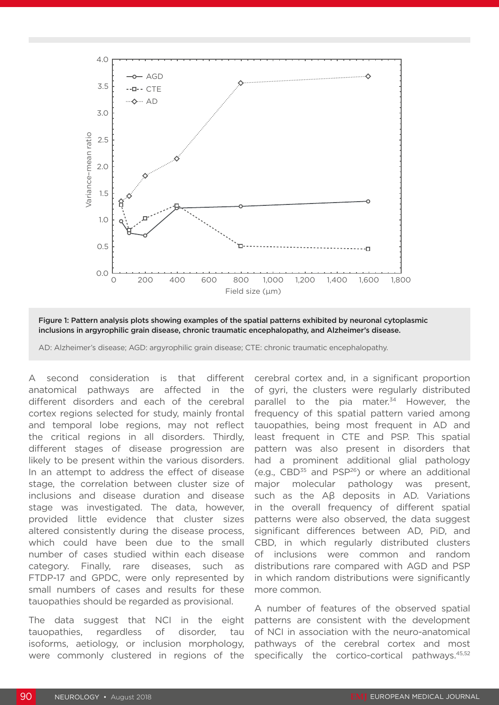

Figure 1: Pattern analysis plots showing examples of the spatial patterns exhibited by neuronal cytoplasmic inclusions in argyrophilic grain disease, chronic traumatic encephalopathy, and Alzheimer's disease.

A second consideration is that different anatomical pathways are affected in the different disorders and each of the cerebral cortex regions selected for study, mainly frontal and temporal lobe regions, may not reflect the critical regions in all disorders. Thirdly, different stages of disease progression are likely to be present within the various disorders. In an attempt to address the effect of disease stage, the correlation between cluster size of inclusions and disease duration and disease stage was investigated. The data, however, provided little evidence that cluster sizes altered consistently during the disease process, which could have been due to the small number of cases studied within each disease category. Finally, rare diseases, such as FTDP-17 and GPDC, were only represented by small numbers of cases and results for these tauopathies should be regarded as provisional.

The data suggest that NCI in the eight tauopathies, regardless of disorder, tau isoforms, aetiology, or inclusion morphology, were commonly clustered in regions of the

cerebral cortex and, in a significant proportion of gyri, the clusters were regularly distributed parallel to the pia mater.<sup>34</sup> However, the frequency of this spatial pattern varied among tauopathies, being most frequent in AD and least frequent in CTE and PSP. This spatial pattern was also present in disorders that had a prominent additional glial pathology  $(e.g.,$  CBD $35$  and PSP $^{26}$ ) or where an additional major molecular pathology was present, such as the Aβ deposits in AD. Variations in the overall frequency of different spatial patterns were also observed, the data suggest significant differences between AD, PiD, and CBD, in which regularly distributed clusters of inclusions were common and random distributions rare compared with AGD and PSP in which random distributions were significantly more common.

A number of features of the observed spatial patterns are consistent with the development of NCI in association with the neuro-anatomical pathways of the cerebral cortex and most specifically the cortico-cortical pathways.<sup>45,52</sup>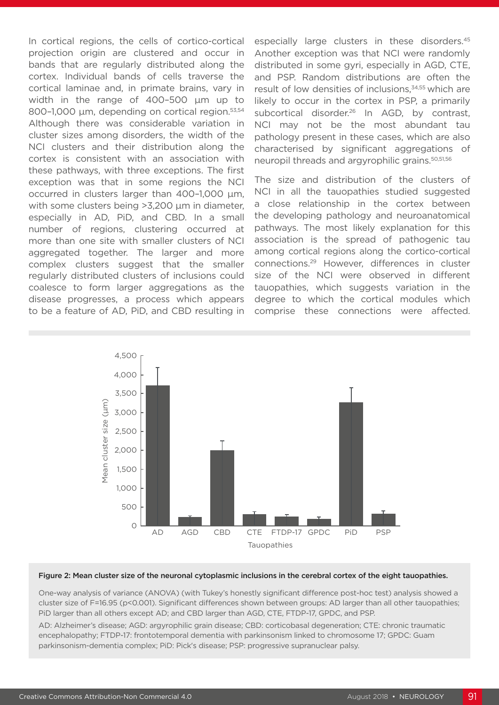In cortical regions, the cells of cortico-cortical projection origin are clustered and occur in bands that are regularly distributed along the cortex. Individual bands of cells traverse the cortical laminae and, in primate brains, vary in width in the range of 400–500 µm up to 800–1,000 μm, depending on cortical region.<sup>53,54</sup> Although there was considerable variation in cluster sizes among disorders, the width of the NCI clusters and their distribution along the cortex is consistent with an association with these pathways, with three exceptions. The first exception was that in some regions the NCI occurred in clusters larger than 400–1,000 µm, with some clusters being >3,200 µm in diameter, especially in AD, PiD, and CBD. In a small number of regions, clustering occurred at more than one site with smaller clusters of NCI aggregated together. The larger and more complex clusters suggest that the smaller regularly distributed clusters of inclusions could coalesce to form larger aggregations as the disease progresses, a process which appears to be a feature of AD, PiD, and CBD resulting in

especially large clusters in these disorders.45 Another exception was that NCI were randomly distributed in some gyri, especially in AGD, CTE, and PSP. Random distributions are often the result of low densities of inclusions,<sup>34,55</sup> which are likely to occur in the cortex in PSP, a primarily subcortical disorder.<sup>26</sup> In AGD, by contrast, NCI may not be the most abundant tau pathology present in these cases, which are also characterised by significant aggregations of neuropil threads and argyrophilic grains.50,51,56

The size and distribution of the clusters of NCI in all the tauopathies studied suggested a close relationship in the cortex between the developing pathology and neuroanatomical pathways. The most likely explanation for this association is the spread of pathogenic tau among cortical regions along the cortico-cortical connections.29 However, differences in cluster size of the NCI were observed in different tauopathies, which suggests variation in the degree to which the cortical modules which comprise these connections were affected.



#### Figure 2: Mean cluster size of the neuronal cytoplasmic inclusions in the cerebral cortex of the eight tauopathies.

One-way analysis of variance (ANOVA) (with Tukey's honestly significant difference post-hoc test) analysis showed a cluster size of F=16.95 (p<0.001). Significant differences shown between groups: AD larger than all other tauopathies; PiD larger than all others except AD; and CBD larger than AGD, CTE, FTDP-17, GPDC, and PSP.

AD: Alzheimer's disease; AGD: argyrophilic grain disease; CBD: corticobasal degeneration; CTE: chronic traumatic encephalopathy; FTDP-17: frontotemporal dementia with parkinsonism linked to chromosome 17; GPDC: Guam parkinsonism-dementia complex; PiD: Pick's disease; PSP: progressive supranuclear palsy.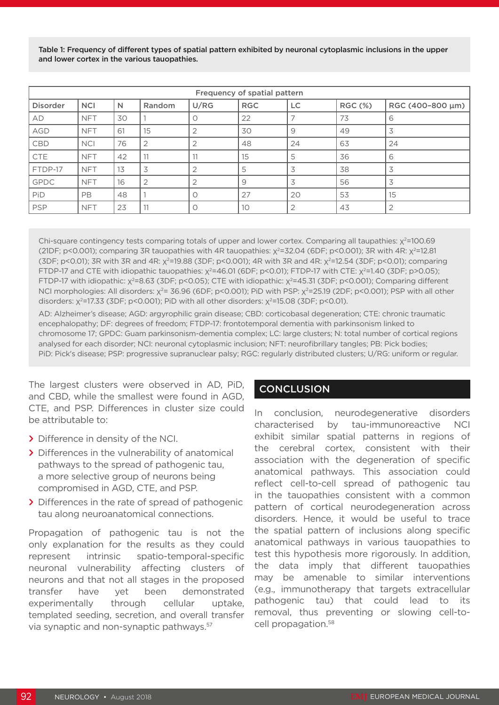Table 1: Frequency of different types of spatial pattern exhibited by neuronal cytoplasmic inclusions in the upper and lower cortex in the various tauopathies.

| Frequency of spatial pattern |            |    |                |                |            |                |                |                  |  |  |
|------------------------------|------------|----|----------------|----------------|------------|----------------|----------------|------------------|--|--|
| <b>Disorder</b>              | <b>NCI</b> | N  | Random         | U/RG           | <b>RGC</b> | LC.            | <b>RGC (%)</b> | RGC (400-800 µm) |  |  |
| AD                           | <b>NFT</b> | 30 |                | O              | 22         |                | 73             | 6                |  |  |
| AGD                          | <b>NFT</b> | 61 | 15             | $\overline{2}$ | 30         | 9              | 49             | 3                |  |  |
| <b>CBD</b>                   | <b>NCI</b> | 76 |                | 2              | 48         | 24             | 63             | 24               |  |  |
| <b>CTE</b>                   | <b>NFT</b> | 42 | . .            | 11             | 15         | 5              | 36             | 6                |  |  |
| FTDP-17                      | <b>NFT</b> | 13 | 3              | $\overline{2}$ | 5          | 3              | 38             | 3                |  |  |
| GPDC                         | <b>NFT</b> | 16 | $\overline{2}$ | $\overline{2}$ | 9          | 3              | 56             | 3                |  |  |
| PiD                          | PB.        | 48 |                | $\circ$        | 27         | 20             | 53             | 15               |  |  |
| <b>PSP</b>                   | <b>NFT</b> | 23 | 11             | $\circ$        | 10         | $\overline{2}$ | 43             | $\overline{2}$   |  |  |

Chi-square contingency tests comparing totals of upper and lower cortex. Comparing all taupathies: χ<sup>2</sup>=100.69 (21DF; p<0.001); comparing 3R tauopathies with 4R tauopathies:  $\chi^2$ =32.04 (6DF; p<0.001); 3R with 4R:  $\chi^2$ =12.81 (3DF; p<0.01); 3R with 3R and 4R:  $\chi^2$ =19.88 (3DF; p<0.001); 4R with 3R and 4R:  $\chi^2$ =12.54 (3DF; p<0.01); comparing FTDP-17 and CTE with idiopathic tauopathies:  $\chi^2$ =46.01 (6DF; p<0.01); FTDP-17 with CTE:  $\chi^2$ =1.40 (3DF; p>0.05); FTDP-17 with idiopathic: x<sup>2</sup>=8.63 (3DF; p<0.05); CTE with idiopathic: x<sup>2</sup>=45.31 (3DF; p<0.001); Comparing different NCI morphologies: All disorders: χ<sup>2</sup>= 36.96 (6DF; p<0.001); PiD with PSP: χ<sup>2</sup>=25.19 (2DF; p<0.001); PSP with all other disorders:  $x^2$ =17.33 (3DF; p<0.001); PiD with all other disorders:  $x^2$ =15.08 (3DF; p<0.01).

AD: Alzheimer's disease; AGD: argyrophilic grain disease; CBD: corticobasal degeneration; CTE: chronic traumatic encephalopathy; DF: degrees of freedom; FTDP-17: frontotemporal dementia with parkinsonism linked to chromosome 17; GPDC: Guam parkinsonism-dementia complex; LC: large clusters; N: total number of cortical regions analysed for each disorder; NCI: neuronal cytoplasmic inclusion; NFT: neurofibrillary tangles; PB: Pick bodies; PiD: Pick's disease; PSP: progressive supranuclear palsy; RGC: regularly distributed clusters; U/RG: uniform or regular.

The largest clusters were observed in AD, PiD, and CBD, while the smallest were found in AGD, CTE, and PSP. Differences in cluster size could be attributable to:

- **>** Difference in density of the NCI.
- **>** Differences in the vulnerability of anatomical pathways to the spread of pathogenic tau, a more selective group of neurons being compromised in AGD, CTE, and PSP.
- **>** Differences in the rate of spread of pathogenic tau along neuroanatomical connections.

Propagation of pathogenic tau is not the only explanation for the results as they could represent intrinsic spatio-temporal-specific neuronal vulnerability affecting clusters of neurons and that not all stages in the proposed transfer have yet been demonstrated experimentally through cellular uptake, templated seeding, secretion, and overall transfer via synaptic and non-synaptic pathways.57

## **CONCLUSION**

In conclusion, neurodegenerative disorders characterised by tau-immunoreactive NCI exhibit similar spatial patterns in regions of the cerebral cortex, consistent with their association with the degeneration of specific anatomical pathways. This association could reflect cell-to-cell spread of pathogenic tau in the tauopathies consistent with a common pattern of cortical neurodegeneration across disorders. Hence, it would be useful to trace the spatial pattern of inclusions along specific anatomical pathways in various tauopathies to test this hypothesis more rigorously. In addition, the data imply that different tauopathies may be amenable to similar interventions (e.g., immunotherapy that targets extracellular pathogenic tau) that could lead to its removal, thus preventing or slowing cell-tocell propagation.58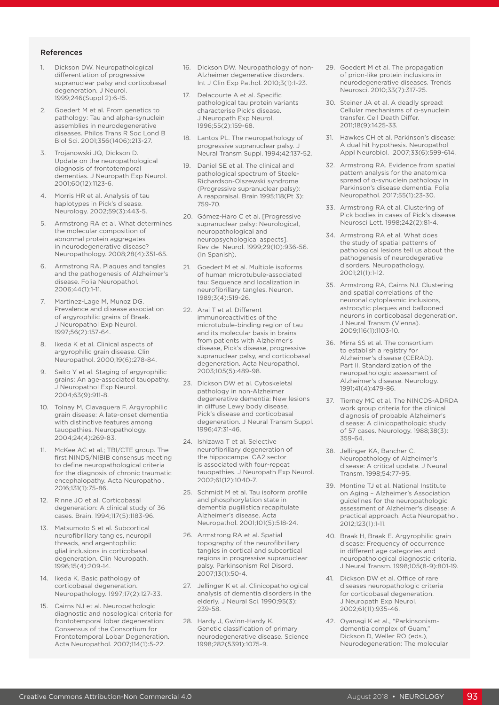#### References

- 1. Dickson DW. Neuropathological differentiation of progressive supranuclear palsy and corticobasal degeneration. J Neurol. 1999;246(Suppl 2):6-15.
- Goedert M et al. From genetics to pathology: Tau and alpha-synuclein assemblies in neurodegenerative diseases. Philos Trans R Soc Lond B Biol Sci. 2001;356(1406):213-27.
- 3. Trojanowski JQ, Dickson D. Update on the neuropathological diagnosis of frontotemporal dementias. J Neuropath Exp Neurol. 2001;60(12):1123-6.
- 4. Morris HR et al. Analysis of tau haplotypes in Pick's disease. Neurology. 2002;59(3):443-5.
- 5. Armstrong RA et al. What determines the molecular composition of abnormal protein aggregates in neurodegenerative disease? Neuropathology. 2008;28(4):351-65.
- 6. Armstrong RA. Plaques and tangles and the pathogenesis of Alzheimer's disease. Folia Neuropathol. 2006;44(1):1-11.
- 7. Martinez-Lage M, Munoz DG. Prevalence and disease association of argyrophilic grains of Braak. J Neuropathol Exp Neurol. 1997;56(2):157-64.
- 8. Ikeda K et al. Clinical aspects of argyrophilic grain disease. Clin Neuropathol. 2000;19(6):278-84.
- 9. Saito Y et al. Staging of argyrophilic grains: An age-associated tauopathy. J Neuropathol Exp Neurol. 2004;63(9):911-8.
- 10. Tolnay M, Clavaguera F. Argyrophilic grain disease: A late-onset dementia with distinctive features among tauopathies. Neuropathology. 2004;24(4):269-83.
- 11. McKee AC et al.; TBI/CTE group. The first NINDS/NIBIB consensus meeting to define neuropathological criteria for the diagnosis of chronic traumatic encephalopathy. Acta Neuropathol. 2016;131(1):75-86.
- 12. Rinne JO et al. Corticobasal degeneration: A clinical study of 36 cases. Brain. 1994;117(5):1183-96.
- 13. Matsumoto S et al. Subcortical neurofibrillary tangles, neuropil threads, and argentophilic glial inclusions in corticobasal degeneration. Clin Neuropath. 1996;15(4):209-14.
- 14. Ikeda K. Basic pathology of corticobasal degeneration. Neuropathology. 1997;17(2):127-33.
- 15. Cairns NJ et al. Neuropathologic diagnostic and nosological criteria for frontotemporal lobar degeneration: Consensus of the Consortium for Frontotemporal Lobar Degeneration. Acta Neuropathol. 2007;114(1):5-22.
- 16. Dickson DW. Neuropathology of non-Alzheimer degenerative disorders. Int J Clin Exp Pathol. 2010;3(1):1-23.
- 17. Delacourte A et al. Specific pathological tau protein variants characterise Pick's disease. J Neuropath Exp Neurol. 1996;55(2):159-68.
- 18. Lantos PL. The neuropathology of progressive supranuclear palsy. J Neural Transm Suppl. 1994;42:137-52.
- 19. Daniel SE et al. The clinical and pathological spectrum of Steele-Richardson-Olszewski syndrome (Progressive supranuclear palsy): A reappraisal. Brain 1995;118(Pt 3): 759-70.
- 20. Gómez-Haro C et al. [Progressive supranuclear palsy: Neurological, neuropathological and neuropsychological aspects]. Rev de Neurol. 1999;29(10):936-56. (In Spanish).
- 21. Goedert M et al. Multiple isoforms of human microtubule-associated tau: Sequence and localization in neurofibrillary tangles. Neuron. 1989;3(4):519-26.
- 22. Arai T et al. Different immunoreactivities of the microtubule-binding region of tau and its molecular basis in brains from patients with Alzheimer's disease, Pick's disease, progressive supranuclear palsy, and corticobasal degeneration. Acta Neuropathol. 2003;105(5):489-98.
- 23. Dickson DW et al. Cytoskeletal pathology in non-Alzheimer degenerative dementia: New lesions in diffuse Lewy body disease, Pick's disease and corticobasal degeneration. J Neural Transm Suppl. 1996;47:31-46.
- 24. Ishizawa T et al. Selective neurofibrillary degeneration of the hippocampal CA2 sector is associated with four-repeat tauopathies. J Neuropath Exp Neurol. 2002;61(12):1040-7.
- 25. Schmidt M et al. Tau isoform profile and phosphorylation state in dementia pugilistica recapitulate Alzheimer's disease. Acta Neuropathol. 2001;101(5):518-24.
- 26. Armstrong RA et al. Spatial topography of the neurofibrillary tangles in cortical and subcortical regions in progressive supranuclear palsy. Parkinsonism Rel Disord. 2007;13(1):50-4.
- 27. Jellinger K et al. Clinicopathological analysis of dementia disorders in the elderly. J Neural Sci. 1990;95(3): 239-58.
- 28. Hardy J, Gwinn-Hardy K. Genetic classification of primary neurodegenerative disease. Science 1998;282(5391):1075-9.
- 29. Goedert M et al. The propagation of prion-like protein inclusions in neurodegenerative diseases. Trends Neurosci. 2010;33(7):317-25.
- 30. Steiner JA et al. A deadly spread: Cellular mechanisms of α-synuclein transfer. Cell Death Differ. 2011;18(9):1425-33.
- 31. Hawkes CH et al. Parkinson's disease: A dual hit hypothesis. Neuropathol Appl Neurobiol. 2007;33(6):599-614.
- 32. Armstrong RA. Evidence from spatial pattern analysis for the anatomical spread of α-synuclein pathology in Parkinson's disease dementia. Folia Neuropathol. 2017;55(1):23-30.
- 33. Armstrong RA et al. Clustering of Pick bodies in cases of Pick's disease. Neurosci Lett. 1998;242(2):81-4.
- 34. Armstrong RA et al. What does the study of spatial patterns of pathological lesions tell us about the pathogenesis of neurodegerative disorders. Neuropathology. 2001;21(1):1-12.
- 35. Armstrong RA, Cairns NJ. Clustering and spatial correlations of the neuronal cytoplasmic inclusions, astrocytic plaques and ballooned neurons in corticobasal degeneration. J Neural Transm (Vienna). 2009;116(1):1103-10.
- 36. Mirra SS et al. The consortium to establish a registry for Alzheimer's disease (CERAD). Part II. Standardization of the neuropathologic assessment of Alzheimer's disease. Neurology. 1991;41(4):479-86.
- 37. Tierney MC et al. The NINCDS-ADRDA work group criteria for the clinical diagnosis of probable Alzheimer's disease: A clinicopathologic study of 57 cases. Neurology. 1988;38(3): 359-64.
- 38. Jellinger KA, Bancher C. Neuropathology of Alzheimer's disease: A critical update. J Neural Transm. 1998;54:77-95.
- 39. Montine TJ et al. National Institute on Aging – Alzheimer's Association guidelines for the neuropathologic assessment of Alzheimer's disease: A practical approach. Acta Neuropathol. 2012;123(1):1-11.
- 40. Braak H, Braak E. Argyrophilic grain disease: Frequency of occurrence in different age categories and neuropathological diagnostic criteria. J Neural Transm. 1998;105(8-9):801-19.
- 41. Dickson DW et al. Office of rare diseases neuropathologic criteria for corticobasal degeneration. J Neuropath Exp Neurol. 2002;61(11):935-46.
- 42. Oyanagi K et al., "Parkinsonismdementia complex of Guam," Dickson D, Weller RO (eds.), Neurodegeneration: The molecular